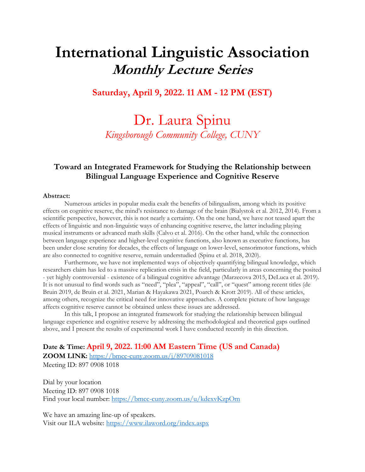# **International Linguistic Association Monthly Lecture Series**

#### **Saturday, April 9, 2022. 11 AM - 12 PM (EST)**

## Dr. Laura Spinu *Kingsborough Community College, CUNY*

#### **Toward an Integrated Framework for Studying the Relationship between Bilingual Language Experience and Cognitive Reserve**

#### **Abstract:**

Numerous articles in popular media exalt the benefits of bilingualism, among which its positive effects on cognitive reserve, the mind's resistance to damage of the brain (Bialystok et al. 2012, 2014). From a scientific perspective, however, this is not nearly a certainty. On the one hand, we have not teased apart the effects of linguistic and non-linguistic ways of enhancing cognitive reserve, the latter including playing musical instruments or advanced math skills (Calvo et al. 2016). On the other hand, while the connection between language experience and higher-level cognitive functions, also known as executive functions, has been under close scrutiny for decades, the effects of language on lower-level, sensorimotor functions, which are also connected to cognitive reserve, remain understudied (Spinu et al. 2018, 2020).

Furthermore, we have not implemented ways of objectively quantifying bilingual knowledge, which researchers claim has led to a massive replication crisis in the field, particularly in areas concerning the posited - yet highly controversial - existence of a bilingual cognitive advantage (Marzecova 2015, DeLuca et al. 2019). It is not unusual to find words such as "need", "plea", "appeal", "call", or "quest" among recent titles (de Bruin 2019, de Bruin et al. 2021, Marian & Hayakawa 2021, Poarch & Krott 2019). All of these articles, among others, recognize the critical need for innovative approaches. A complete picture of how language affects cognitive reserve cannot be obtained unless these issues are addressed.

In this talk, I propose an integrated framework for studying the relationship between bilingual language experience and cognitive reserve by addressing the methodological and theoretical gaps outlined above, and I present the results of experimental work I have conducted recently in this direction.

**Date & Time: April 9, 2022. 11:00 AM Eastern Time (US and Canada) ZOOM LINK:** <https://bmcc-cuny.zoom.us/j/89709081018> Meeting ID: 897 0908 1018

Dial by your location Meeting ID: 897 0908 1018 Find your local number:<https://bmcc-cuny.zoom.us/u/kdexvKzpOm>

We have an amazing line-up of speakers. Visit our ILA website:<https://www.ilaword.org/index.aspx>